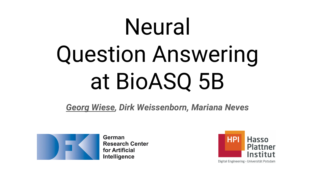# **Neural** Question Answering at BioASQ 5B

*Georg Wiese, Dirk Weissenborn, Mariana Neves*



German **Research Center** for Artificial Intelligence

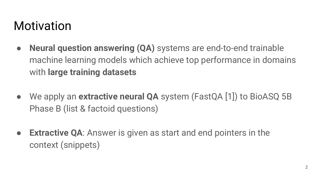### Motivation

- **● Neural question answering (QA)** systems are end-to-end trainable machine learning models which achieve top performance in domains with **large training datasets**
- We apply an **extractive neural QA** system (FastQA [1]) to BioASQ 5B Phase B (list & factoid questions)
- **● Extractive QA**: Answer is given as start and end pointers in the context (snippets)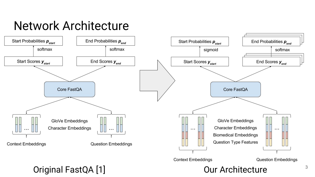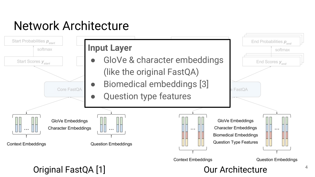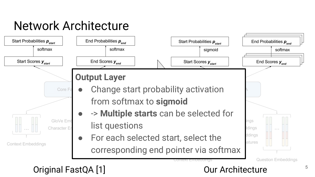

#### Original FastQA [1] Common Contracture Contracture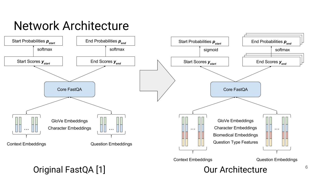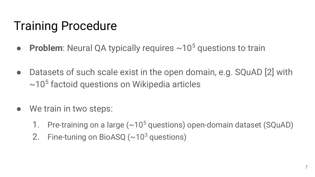# Training Procedure

- **Problem**: Neural QA typically requires ~10<sup>5</sup> questions to train
- **●** Datasets of such scale exist in the open domain, e.g. SQuAD [2] with  $\sim$ 10<sup>5</sup> factoid questions on Wikipedia articles
- We train in two steps:
	- 1. Pre-training on a large  $({\sim}10^5$  questions) open-domain dataset (SQuAD)
	- 2. Fine-tuning on BioASQ  $({\sim}10^3$  questions)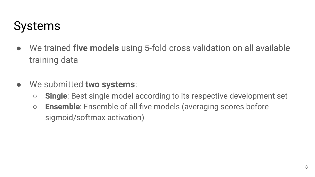# Systems

- We trained **five models** using 5-fold cross validation on all available training data
- We submitted **two systems**:
	- **○ Single**: Best single model according to its respective development set
	- **○ Ensemble**: Ensemble of all five models (averaging scores before sigmoid/softmax activation)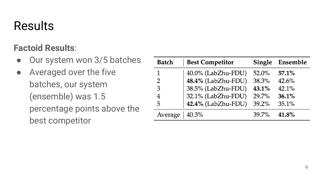# Results

#### **Factoid Results**:

- Our system won 3/5 batches
- Averaged over the five batches, our system (ensemble) was 1.5 percentage points above the best competitor

| <b>Batch</b>  | <b>Best Competitor</b> | <b>Single</b> | Ensemble |
|---------------|------------------------|---------------|----------|
| 1             | 40.0% (LabZhu-FDU)     | $52.0\%$      | 57.1%    |
| $\mathcal{P}$ | 48.4% (LabZhu-FDU)     | 38.3%         | 42.6%    |
| 3             | 38.5% (LabZhu-FDU)     | 43.1%         | 42.1%    |
|               | 32.1% (LabZhu-FDU)     | 29.7%         | 36.1%    |
| 5             | 42.4% (LabZhu-FDU)     | 39.2%         | 35.1%    |
| Average       | 40.3%                  | 39.7%         | 41.8%    |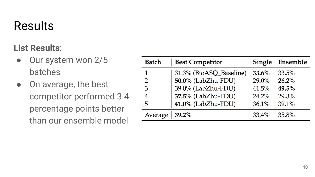# Results

#### **List Results**:

- Our system won 2/5 batches
- On average, the best competitor performed 3.4 percentage points better than our ensemble model

| <b>Batch</b>  | <b>Best Competitor</b>  | Single   | Ensemble |
|---------------|-------------------------|----------|----------|
|               | 31.3% (BioASQ_Baseline) | 33.6%    | 33.5%    |
| $\mathcal{P}$ | 50.0% (LabZhu-FDU)      | $29.0\%$ | 26.2%    |
| 3             | 39.0% (LabZhu-FDU)      | 41.5%    | 49.5%    |
| 4             | 37.5% (LabZhu-FDU)      | 24.2%    | 29.3%    |
| 5             | 41.0% (LabZhu-FDU)      | 36.1%    | 39.1%    |
| Average       | 39.2%                   | $33.4\%$ | 35.8%    |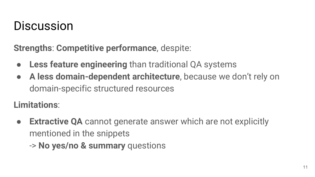### **Discussion**

**Strengths**: **Competitive performance**, despite:

- **Less feature engineering** than traditional QA systems
- **A less domain-dependent architecture**, because we don't rely on domain-specific structured resources

**Limitations**:

- **● Extractive QA** cannot generate answer which are not explicitly mentioned in the snippets
	- -> **No yes/no & summary** questions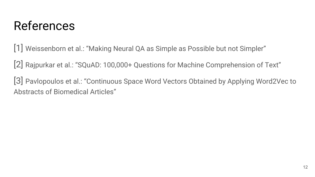### References

[1] Weissenborn et al.: "Making Neural QA as Simple as Possible but not Simpler"

[2] Rajpurkar et al.: "SQuAD: 100,000+ Questions for Machine Comprehension of Text"

[3] Pavlopoulos et al.: "Continuous Space Word Vectors Obtained by Applying Word2Vec to Abstracts of Biomedical Articles"